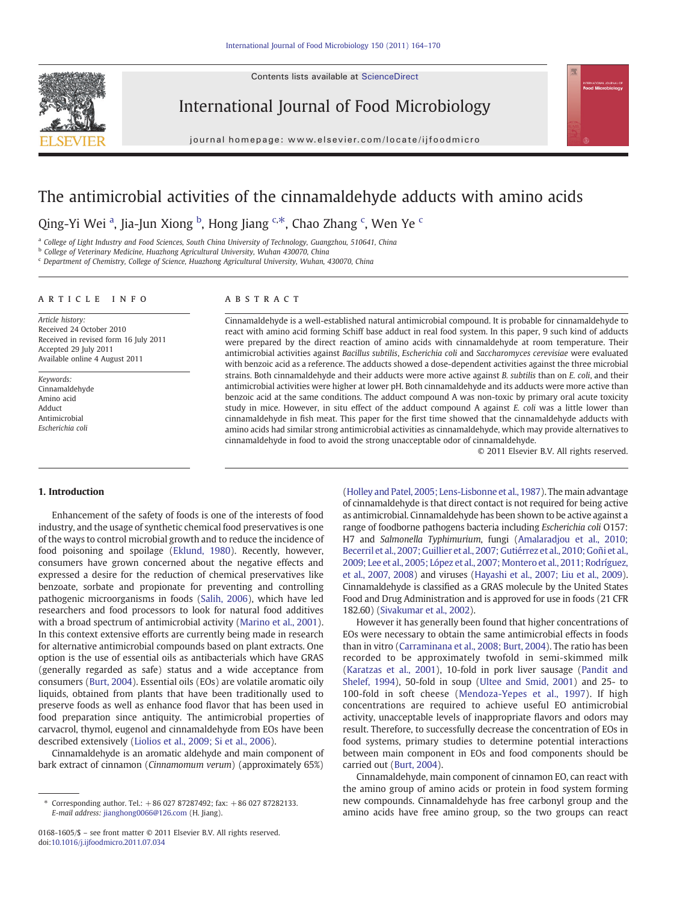Contents lists available at [ScienceDirect](http://www.sciencedirect.com/science/journal/01681605)



International Journal of Food Microbiology

journal homepage: www.elsevier.com/locate/ijfoodmicro

# The antimicrobial activities of the cinnamaldehyde adducts with amino acids

Qing-Yi Wei <sup>a</sup>, Jia-Jun Xiong <sup>b</sup>, Hong Jiang <sup>c,\*</sup>, Chao Zhang <sup>c</sup>, Wen Ye <sup>c</sup>

<sup>a</sup> College of Light Industry and Food Sciences, South China University of Technology, Guangzhou, 510641, China

b College of Veterinary Medicine, Huazhong Agricultural University, Wuhan 430070, China

<sup>c</sup> Department of Chemistry, College of Science, Huazhong Agricultural University, Wuhan, 430070, China

# article info abstract

Article history: Received 24 October 2010 Received in revised form 16 July 2011 Accepted 29 July 2011 Available online 4 August 2011

Keywords: Cinnamaldehyde Amino acid Adduct Antimicrobial Escherichia coli

Cinnamaldehyde is a well-established natural antimicrobial compound. It is probable for cinnamaldehyde to react with amino acid forming Schiff base adduct in real food system. In this paper, 9 such kind of adducts were prepared by the direct reaction of amino acids with cinnamaldehyde at room temperature. Their antimicrobial activities against Bacillus subtilis, Escherichia coli and Saccharomyces cerevisiae were evaluated with benzoic acid as a reference. The adducts showed a dose-dependent activities against the three microbial strains. Both cinnamaldehyde and their adducts were more active against B. subtilis than on E. coli, and their antimicrobial activities were higher at lower pH. Both cinnamaldehyde and its adducts were more active than benzoic acid at the same conditions. The adduct compound A was non-toxic by primary oral acute toxicity study in mice. However, in situ effect of the adduct compound A against  $E$ . coli was a little lower than cinnamaldehyde in fish meat. This paper for the first time showed that the cinnamaldehyde adducts with amino acids had similar strong antimicrobial activities as cinnamaldehyde, which may provide alternatives to cinnamaldehyde in food to avoid the strong unacceptable odor of cinnamaldehyde.

© 2011 Elsevier B.V. All rights reserved.

# 1. Introduction

Enhancement of the safety of foods is one of the interests of food industry, and the usage of synthetic chemical food preservatives is one of the ways to control microbial growth and to reduce the incidence of food poisoning and spoilage [\(Eklund, 1980\)](#page-5-0). Recently, however, consumers have grown concerned about the negative effects and expressed a desire for the reduction of chemical preservatives like benzoate, sorbate and propionate for preventing and controlling pathogenic microorganisms in foods ([Salih, 2006](#page-6-0)), which have led researchers and food processors to look for natural food additives with a broad spectrum of antimicrobial activity [\(Marino et al., 2001](#page-6-0)). In this context extensive efforts are currently being made in research for alternative antimicrobial compounds based on plant extracts. One option is the use of essential oils as antibacterials which have GRAS (generally regarded as safe) status and a wide acceptance from consumers ([Burt, 2004](#page-5-0)). Essential oils (EOs) are volatile aromatic oily liquids, obtained from plants that have been traditionally used to preserve foods as well as enhance food flavor that has been used in food preparation since antiquity. The antimicrobial properties of carvacrol, thymol, eugenol and cinnamaldehyde from EOs have been described extensively [\(Liolios et al., 2009; Si et al., 2006](#page-6-0)).

Cinnamaldehyde is an aromatic aldehyde and main component of bark extract of cinnamon (Cinnamomum verum) (approximately 65%)

[\(Holley and Patel, 2005; Lens-Lisbonne et al., 1987\)](#page-6-0). The main advantage of cinnamaldehyde is that direct contact is not required for being active as antimicrobial. Cinnamaldehyde has been shown to be active against a range of foodborne pathogens bacteria including Escherichia coli O157: H7 and Salmonella Typhimurium, fungi [\(Amalaradjou et al., 2010;](#page-5-0) [Becerril et al., 2007; Guillier et al., 2007; Gutiérrez et al., 2010; Goñi et al.,](#page-5-0) [2009; Lee et al., 2005; López et al., 2007; Montero et al., 2011; Rodríguez,](#page-5-0) [et al., 2007, 2008](#page-5-0)) and viruses ([Hayashi et al., 2007; Liu et al., 2009\)](#page-6-0). Cinnamaldehyde is classified as a GRAS molecule by the United States Food and Drug Administration and is approved for use in foods (21 CFR 182.60) ([Sivakumar et al., 2002](#page-6-0)).

However it has generally been found that higher concentrations of EOs were necessary to obtain the same antimicrobial effects in foods than in vitro [\(Carraminana et al., 2008; Burt, 2004](#page-5-0)). The ratio has been recorded to be approximately twofold in semi-skimmed milk [\(Karatzas et al., 2001\)](#page-6-0), 10-fold in pork liver sausage ([Pandit and](#page-6-0) [Shelef, 1994\)](#page-6-0), 50-fold in soup [\(Ultee and Smid, 2001\)](#page-6-0) and 25- to 100-fold in soft cheese ([Mendoza-Yepes et al., 1997](#page-6-0)). If high concentrations are required to achieve useful EO antimicrobial activity, unacceptable levels of inappropriate flavors and odors may result. Therefore, to successfully decrease the concentration of EOs in food systems, primary studies to determine potential interactions between main component in EOs and food components should be carried out [\(Burt, 2004\)](#page-5-0).

Cinnamaldehyde, main component of cinnamon EO, can react with the amino group of amino acids or protein in food system forming new compounds. Cinnamaldehyde has free carbonyl group and the amino acids have free amino group, so the two groups can react

<sup>⁎</sup> Corresponding author. Tel.: +86 027 87287492; fax: +86 027 87282133. E-mail address: [jianghong0066@126.com](mailto:jianghong0066@126.com) (H. Jiang).

<sup>0168-1605/\$</sup> – see front matter © 2011 Elsevier B.V. All rights reserved. doi[:10.1016/j.ijfoodmicro.2011.07.034](http://dx.doi.org/10.1016/j.ijfoodmicro.2011.07.034)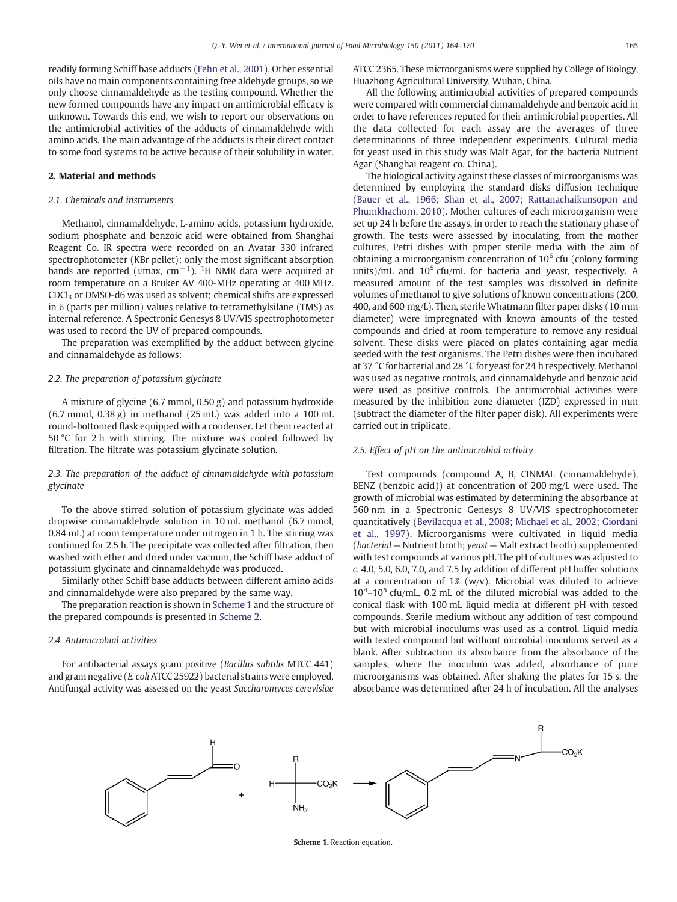readily forming Schiff base adducts ([Fehn et al., 2001](#page-5-0)). Other essential oils have no main components containing free aldehyde groups, so we only choose cinnamaldehyde as the testing compound. Whether the new formed compounds have any impact on antimicrobial efficacy is unknown. Towards this end, we wish to report our observations on the antimicrobial activities of the adducts of cinnamaldehyde with amino acids. The main advantage of the adducts is their direct contact to some food systems to be active because of their solubility in water.

### 2. Material and methods

#### 2.1. Chemicals and instruments

Methanol, cinnamaldehyde, L-amino acids, potassium hydroxide, sodium phosphate and benzoic acid were obtained from Shanghai Reagent Co. IR spectra were recorded on an Avatar 330 infrared spectrophotometer (KBr pellet); only the most significant absorption bands are reported ( $\nu$ max, cm<sup>−1</sup>). <sup>1</sup>H NMR data were acquired at room temperature on a Bruker AV 400-MHz operating at 400 MHz. CDCl3 or DMSO-d6 was used as solvent; chemical shifts are expressed in  $\delta$  (parts per million) values relative to tetramethylsilane (TMS) as internal reference. A Spectronic Genesys 8 UV/VIS spectrophotometer was used to record the UV of prepared compounds.

The preparation was exemplified by the adduct between glycine and cinnamaldehyde as follows:

### 2.2. The preparation of potassium glycinate

A mixture of glycine (6.7 mmol, 0.50 g) and potassium hydroxide (6.7 mmol, 0.38 g) in methanol (25 mL) was added into a 100 mL round-bottomed flask equipped with a condenser. Let them reacted at 50 °C for 2 h with stirring. The mixture was cooled followed by filtration. The filtrate was potassium glycinate solution.

# 2.3. The preparation of the adduct of cinnamaldehyde with potassium glycinate

To the above stirred solution of potassium glycinate was added dropwise cinnamaldehyde solution in 10 mL methanol (6.7 mmol, 0.84 mL) at room temperature under nitrogen in 1 h. The stirring was continued for 2.5 h. The precipitate was collected after filtration, then washed with ether and dried under vacuum, the Schiff base adduct of potassium glycinate and cinnamaldehyde was produced.

Similarly other Schiff base adducts between different amino acids and cinnamaldehyde were also prepared by the same way.

The preparation reaction is shown in Scheme 1 and the structure of the prepared compounds is presented in [Scheme 2](#page-2-0).

#### 2.4. Antimicrobial activities

For antibacterial assays gram positive (Bacillus subtilis MTCC 441) and gram negative (E. coli ATCC 25922) bacterial strains were employed. Antifungal activity was assessed on the yeast Saccharomyces cerevisiae ATCC 2365. These microorganisms were supplied by College of Biology, Huazhong Agricultural University, Wuhan, China.

All the following antimicrobial activities of prepared compounds were compared with commercial cinnamaldehyde and benzoic acid in order to have references reputed for their antimicrobial properties. All the data collected for each assay are the averages of three determinations of three independent experiments. Cultural media for yeast used in this study was Malt Agar, for the bacteria Nutrient Agar (Shanghai reagent co. China).

The biological activity against these classes of microorganisms was determined by employing the standard disks diffusion technique [\(Bauer et al., 1966; Shan et al., 2007; Rattanachaikunsopon and](#page-5-0) [Phumkhachorn, 2010\)](#page-5-0). Mother cultures of each microorganism were set up 24 h before the assays, in order to reach the stationary phase of growth. The tests were assessed by inoculating, from the mother cultures, Petri dishes with proper sterile media with the aim of obtaining a microorganism concentration of  $10<sup>6</sup>$  cfu (colony forming units)/mL and  $10^5$  cfu/mL for bacteria and yeast, respectively. A measured amount of the test samples was dissolved in definite volumes of methanol to give solutions of known concentrations (200, 400, and 600 mg/L). Then, sterile Whatmann filter paper disks (10 mm diameter) were impregnated with known amounts of the tested compounds and dried at room temperature to remove any residual solvent. These disks were placed on plates containing agar media seeded with the test organisms. The Petri dishes were then incubated at 37 °C for bacterial and 28 °C for yeast for 24 h respectively. Methanol was used as negative controls, and cinnamaldehyde and benzoic acid were used as positive controls. The antimicrobial activities were measured by the inhibition zone diameter (IZD) expressed in mm (subtract the diameter of the filter paper disk). All experiments were carried out in triplicate.

#### 2.5. Effect of pH on the antimicrobial activity

Test compounds (compound A, B, CINMAL (cinnamaldehyde), BENZ (benzoic acid)) at concentration of 200 mg/L were used. The growth of microbial was estimated by determining the absorbance at 560 nm in a Spectronic Genesys 8 UV/VIS spectrophotometer quantitatively [\(Bevilacqua et al., 2008; Michael et al., 2002; Giordani](#page-5-0) [et al., 1997](#page-5-0)). Microorganisms were cultivated in liquid media (bacterial — Nutrient broth; yeast — Malt extract broth) supplemented with test compounds at various pH. The pH of cultures was adjusted to c. 4.0, 5.0, 6.0, 7.0, and 7.5 by addition of different pH buffer solutions at a concentration of  $1\%$  (w/v). Microbial was diluted to achieve  $10^4$ - $10^5$  cfu/mL. 0.2 mL of the diluted microbial was added to the conical flask with 100 mL liquid media at different pH with tested compounds. Sterile medium without any addition of test compound but with microbial inoculums was used as a control. Liquid media with tested compound but without microbial inoculums served as a blank. After subtraction its absorbance from the absorbance of the samples, where the inoculum was added, absorbance of pure microorganisms was obtained. After shaking the plates for 15 s, the absorbance was determined after 24 h of incubation. All the analyses



Scheme 1. Reaction equation.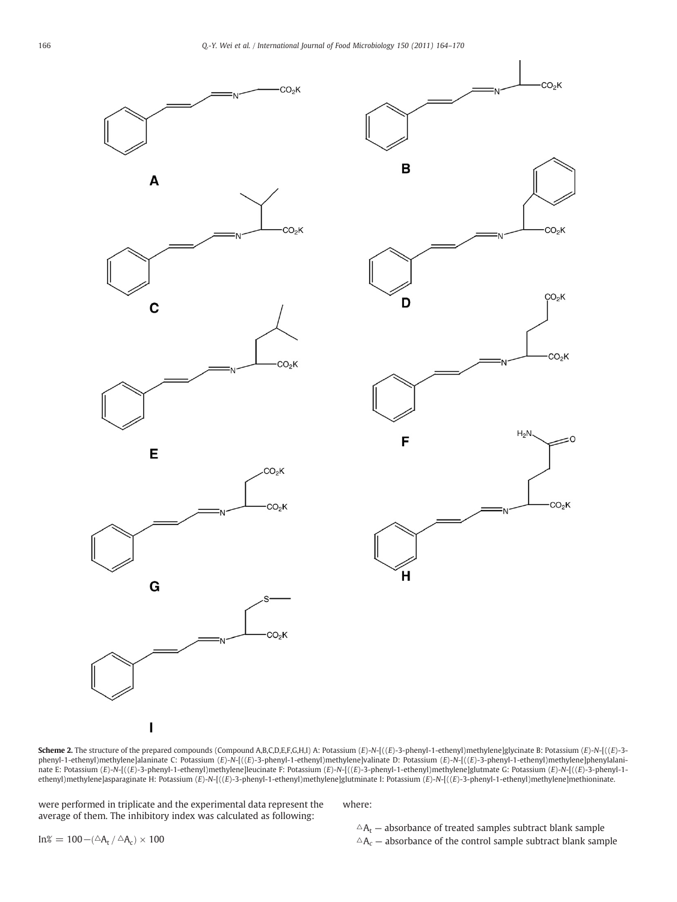<span id="page-2-0"></span>



Scheme 2. The structure of the prepared compounds (Compound A,B,C,D,E,F,G,H,I) A: Potassium (E)-N-[((E)-3-phenyl-1-ethenyl)methylene]glycinate B: Potassium (E)-N-[((E)-3phenyl-1-ethenyl)methylene]alaninate C: Potassium (E)-N-[((E)-3-phenyl-1-ethenyl)methylene]valinate D: Potassium (E)-N-[((E)-3-phenyl-1-ethenyl)methylene]phenylalaninate E: Potassium (E)-N-[((E)-3-phenyl-1-ethenyl)methylene]leucinate F: Potassium (E)-N-[((E)-3-phenyl-1-ethenyl)methylene]glutmate G: Potassium (E)-N-[((E)-3-phenyl-1ethenyl)methylene]asparaginate H: Potassium (E)-N-[((E)-3-phenyl-1-ethenyl)methylene]glutminate I: Potassium (E)-N-[((E)-3-phenyl-1-ethenyl)methylene]methioninate.

 $CO<sub>2</sub>K$ 

were performed in triplicate and the experimental data represent the average of them. The inhibitory index was calculated as following:

I

where:

 $\Delta A_t$  — absorbance of treated samples subtract blank sample  $\Delta A_c$  – absorbance of the control sample subtract blank sample

In% = 100 – $(\triangle A_t / \triangle A_c) \times 100$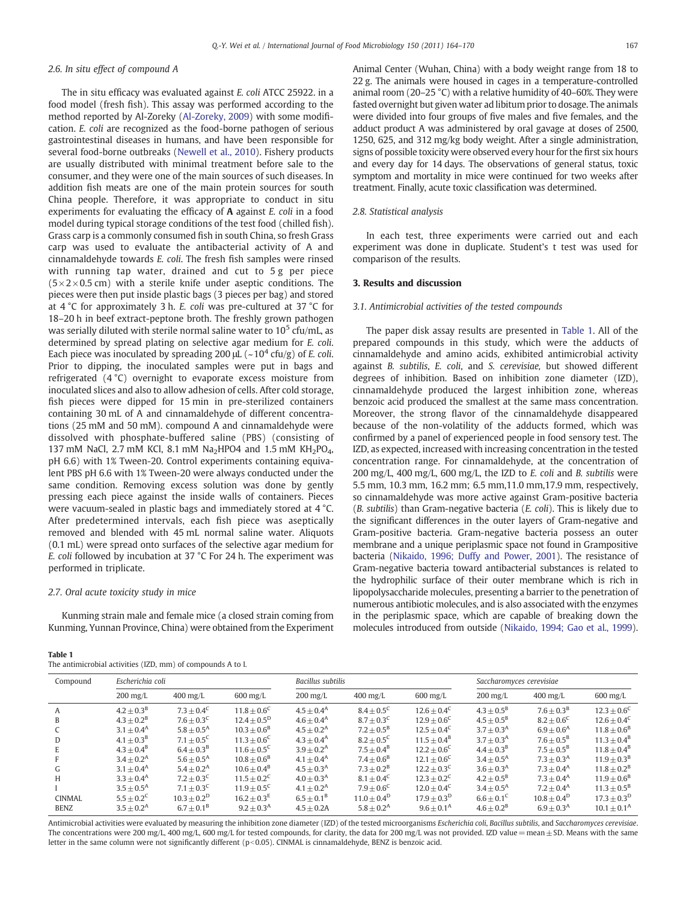# <span id="page-3-0"></span>2.6. In situ effect of compound A

The in situ efficacy was evaluated against E. coli ATCC 25922. in a food model (fresh fish). This assay was performed according to the method reported by Al-Zoreky ([Al-Zoreky, 2009](#page-5-0)) with some modification. E. coli are recognized as the food-borne pathogen of serious gastrointestinal diseases in humans, and have been responsible for several food-borne outbreaks [\(Newell et al., 2010\)](#page-6-0). Fishery products are usually distributed with minimal treatment before sale to the consumer, and they were one of the main sources of such diseases. In addition fish meats are one of the main protein sources for south China people. Therefore, it was appropriate to conduct in situ experiments for evaluating the efficacy of A against E. coli in a food model during typical storage conditions of the test food (chilled fish). Grass carp is a commonly consumed fish in south China, so fresh Grass carp was used to evaluate the antibacterial activity of A and cinnamaldehyde towards E. coli. The fresh fish samples were rinsed with running tap water, drained and cut to 5 g per piece  $(5 \times 2 \times 0.5$  cm) with a sterile knife under aseptic conditions. The pieces were then put inside plastic bags (3 pieces per bag) and stored at 4 °C for approximately 3 h. E. coli was pre-cultured at 37 °C for 18–20 h in beef extract-peptone broth. The freshly grown pathogen was serially diluted with sterile normal saline water to  $10^5$  cfu/mL, as determined by spread plating on selective agar medium for E. coli. Each piece was inoculated by spreading 200  $\mu$ L (~10<sup>4</sup> cfu/g) of *E. coli.* Prior to dipping, the inoculated samples were put in bags and refrigerated (4 °C) overnight to evaporate excess moisture from inoculated slices and also to allow adhesion of cells. After cold storage, fish pieces were dipped for 15 min in pre-sterilized containers containing 30 mL of A and cinnamaldehyde of different concentrations (25 mM and 50 mM). compound A and cinnamaldehyde were dissolved with phosphate-buffered saline (PBS) (consisting of 137 mM NaCl, 2.7 mM KCl, 8.1 mM Na<sub>2</sub>HPO4 and 1.5 mM KH<sub>2</sub>PO<sub>4</sub>, pH 6.6) with 1% Tween-20. Control experiments containing equivalent PBS pH 6.6 with 1% Tween-20 were always conducted under the same condition. Removing excess solution was done by gently pressing each piece against the inside walls of containers. Pieces were vacuum-sealed in plastic bags and immediately stored at 4 °C. After predetermined intervals, each fish piece was aseptically removed and blended with 45 mL normal saline water. Aliquots (0.1 mL) were spread onto surfaces of the selective agar medium for E. coli followed by incubation at 37 °C For 24 h. The experiment was performed in triplicate.

#### 2.7. Oral acute toxicity study in mice

Kunming strain male and female mice (a closed strain coming from Kunming, Yunnan Province, China) were obtained from the Experiment

#### Table 1

The antimicrobial activities (IZD, mm) of compounds A to I.

Animal Center (Wuhan, China) with a body weight range from 18 to 22 g. The animals were housed in cages in a temperature-controlled animal room (20–25 °C) with a relative humidity of 40–60%. They were fasted overnight but given water ad libitum prior to dosage. The animals were divided into four groups of five males and five females, and the adduct product A was administered by oral gavage at doses of 2500, 1250, 625, and 312 mg/kg body weight. After a single administration, signs of possible toxicity were observed every hour for the first six hours and every day for 14 days. The observations of general status, toxic symptom and mortality in mice were continued for two weeks after treatment. Finally, acute toxic classification was determined.

#### 2.8. Statistical analysis

In each test, three experiments were carried out and each experiment was done in duplicate. Student's t test was used for comparison of the results.

#### 3. Results and discussion

## 3.1. Antimicrobial activities of the tested compounds

The paper disk assay results are presented in Table 1. All of the prepared compounds in this study, which were the adducts of cinnamaldehyde and amino acids, exhibited antimicrobial activity against B. subtilis, E. coli, and S. cerevisiae, but showed different degrees of inhibition. Based on inhibition zone diameter (IZD), cinnamaldehyde produced the largest inhibition zone, whereas benzoic acid produced the smallest at the same mass concentration. Moreover, the strong flavor of the cinnamaldehyde disappeared because of the non-volatility of the adducts formed, which was confirmed by a panel of experienced people in food sensory test. The IZD, as expected, increased with increasing concentration in the tested concentration range. For cinnamaldehyde, at the concentration of 200 mg/L, 400 mg/L, 600 mg/L, the IZD to E. coli and B. subtilis were 5.5 mm, 10.3 mm, 16.2 mm; 6.5 mm,11.0 mm,17.9 mm, respectively, so cinnamaldehyde was more active against Gram-positive bacteria (B. subtilis) than Gram-negative bacteria (E. coli). This is likely due to the significant differences in the outer layers of Gram-negative and Gram-positive bacteria. Gram-negative bacteria possess an outer membrane and a unique periplasmic space not found in Grampositive bacteria [\(Nikaido, 1996; Duffy and Power, 2001\)](#page-6-0). The resistance of Gram-negative bacteria toward antibacterial substances is related to the hydrophilic surface of their outer membrane which is rich in lipopolysaccharide molecules, presenting a barrier to the penetration of numerous antibiotic molecules, and is also associated with the enzymes in the periplasmic space, which are capable of breaking down the molecules introduced from outside ([Nikaido, 1994; Gao et al., 1999](#page-6-0)).

| Compound      | Escherichia coli                 |                                  |                                  | Bacillus subtilis                |                        |                                  | Saccharomyces cerevisiae |                        |                         |
|---------------|----------------------------------|----------------------------------|----------------------------------|----------------------------------|------------------------|----------------------------------|--------------------------|------------------------|-------------------------|
|               | $200 \frac{\text{mg}}{\text{L}}$ | $400 \frac{\text{mg}}{\text{L}}$ | $600 \frac{\text{mg}}{\text{L}}$ | $200 \frac{\text{mg}}{\text{L}}$ | $400 \,\mathrm{mg/L}$  | $600 \frac{\text{mg}}{\text{L}}$ | $200$ mg/L               | $400 \,\mathrm{mg/L}$  | $600$ mg/L              |
| A             | $4.2 + 0.3B$                     | $7.3 + 0.4^{\circ}$              | $11.8 + 0.6^{\circ}$             | $4.5 + 0.4^{\text{A}}$           | $8.4 + 0.5^{\circ}$    | $12.6 + 0.4^C$                   | $4.3 + 0.5^{\rm B}$      | $7.6 + 0.3^{\rm B}$    | $12.3 + 0.6^{\circ}$    |
| B             | $4.3 + 0.2^{\rm B}$              | $7.6 + 0.3^{\circ}$              | $12.4 + 0.5^{\rm D}$             | $4.6 + 0.4^{\rm A}$              | $8.7 + 0.3^{\circ}$    | $12.9 + 0.6^{\circ}$             | $4.5 + 0.5^{\rm B}$      | $8.2 + 0.6^{\circ}$    | $12.6 + 0.4^C$          |
|               | $3.1 + 0.4^{\text{A}}$           | $5.8 + 0.5^{\text{A}}$           | $10.3 + 0.6^B$                   | $4.5 + 0.2^{\rm A}$              | $7.2 + 0.5^{\rm B}$    | $12.5 + 0.4^{\circ}$             | $3.7 + 0.3A$             | $6.9 + 0.6A$           | $11.8 + 0.6^B$          |
| D             | $4.1 + 0.3^{\rm B}$              | $7.1 + 0.5^{\circ}$              | $11.3 + 0.6^{\circ}$             | $4.3 + 0.4^{\text{A}}$           | $8.2 + 0.5^{\circ}$    | $11.5 + 0.4^B$                   | $3.7 + 0.3A$             | $7.6 + 0.5^{\rm B}$    | $11.3 + 0.4^B$          |
| E             | $4.3 + 0.4^{\rm B}$              | $6.4 + 0.3^{\rm B}$              | $11.6 + 0.5^{\circ}$             | $3.9 + 0.2^{\text{A}}$           | $7.5 + 0.4^B$          | $12.2 \pm 0.6^{\circ}$           | $4.4 + 0.3^{\rm B}$      | $7.5 + 0.5^{\rm B}$    | $11.8 + 0.4^B$          |
|               | $3.4 + 0.2^{\rm A}$              | $5.6 + 0.5^{\text{A}}$           | $10.8 + 0.6^B$                   | $4.1 + 0.4^{\text{A}}$           | $7.4 + 0.6^B$          | $12.1 + 0.6^{\circ}$             | $3.4 + 0.5^{\text{A}}$   | $7.3 + 0.3A$           | $11.9 + 0.3B$           |
| G             | $3.1 + 0.4^{\text{A}}$           | $5.4 + 0.2^{\text{A}}$           | $10.6 + 0.4^B$                   | $4.5 + 0.3A$                     | $7.3 + 0.2^B$          | $12.2 + 0.3^{\circ}$             | $3.6 + 0.3A$             | $7.3 + 0.4^{\text{A}}$ | $11.8 + 0.2^B$          |
| H             | $3.3 + 0.4^{\text{A}}$           | $7.2 + 0.3^{\circ}$              | $11.5 + 0.2^C$                   | $4.0 + 0.3A$                     | $8.1 + 0.4^{\circ}$    | $12.3 + 0.2^C$                   | $4.2 + 0.5^{\rm B}$      | $7.3 + 0.4^{\text{A}}$ | $11.9 + 0.6^{\rm B}$    |
|               | $3.5 + 0.5^{\text{A}}$           | $7.1 + 0.3^{\circ}$              | $11.9 + 0.5^{\circ}$             | $4.1 + 0.2^{\rm A}$              | $7.9 + 0.6^{\circ}$    | $12.0 + 0.4^C$                   | $3.4 + 0.5^{\text{A}}$   | $7.2 + 0.4^{\text{A}}$ | $11.3 + 0.5^{\rm B}$    |
| <b>CINMAL</b> | $5.5 \pm 0.2^{\circ}$            | $10.3 \pm 0.2^D$                 | $16.2 + 0.3^E$                   | $6.5 + 0.1^{\text{B}}$           | $11.0 \pm 0.4^D$       | $17.9 + 0.3^{\rm D}$             | $6.6 + 0.1^{\circ}$      | $10.8 \pm 0.4^D$       | $17.3 + 0.3^D$          |
| <b>BENZ</b>   | $3.5 + 0.2^{\text{A}}$           | $6.7 + 0.1^{\mathrm{B}}$         | $9.2 + 0.3A$                     | $4.5 + 0.2A$                     | $5.8 + 0.2^{\text{A}}$ | $9.6 + 0.1^{\text{A}}$           | $4.6 + 0.2^B$            | $6.9 + 0.3A$           | $10.1 + 0.1^{\text{A}}$ |

Antimicrobial activities were evaluated by measuring the inhibition zone diameter (IZD) of the tested microorganisms Escherichia coli, Bacillus subtilis, and Saccharomyces cerevisiae. The concentrations were 200 mg/L, 400 mg/L, 600 mg/L for tested compounds, for clarity, the data for 200 mg/L was not provided. IZD value = mean  $\pm$  SD. Means with the same letter in the same column were not significantly different ( $p<0.05$ ). CINMAL is cinnamaldehyde, BENZ is benzoic acid.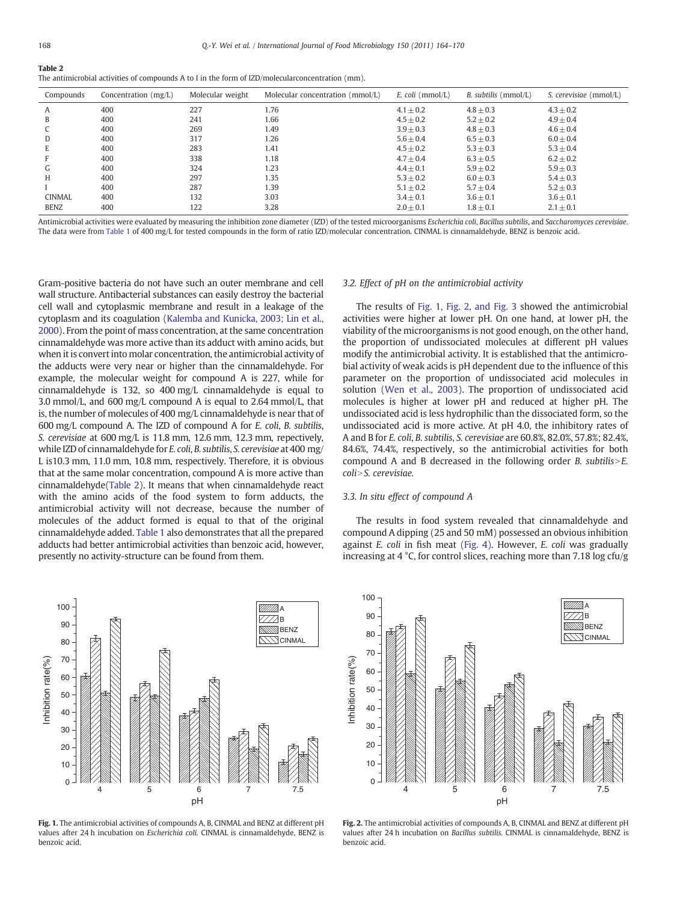Table 2

| The antimicrobial activities of compounds A to I in the form of IZD/molecular concentration (mm). |  |  |
|---------------------------------------------------------------------------------------------------|--|--|
|---------------------------------------------------------------------------------------------------|--|--|

| Compounds     | Concentration $(mg/L)$ | Molecular weight | Molecular concentration (mmol/L) | E. coli (mmol/L) | <i>B. subtilis</i> (mmol/L) | S. cerevisiae (mmol/L) |
|---------------|------------------------|------------------|----------------------------------|------------------|-----------------------------|------------------------|
| A             | 400                    | 227              | 1.76                             | $4.1 \pm 0.2$    | $4.8 + 0.3$                 | $4.3 \pm 0.2$          |
| B             | 400                    | 241              | 1.66                             | $4.5 \pm 0.2$    | $5.2 \pm 0.2$               | $4.9 \pm 0.4$          |
|               | 400                    | 269              | 1.49                             | $3.9 \pm 0.3$    | $4.8 + 0.3$                 | $4.6 \pm 0.4$          |
| D             | 400                    | 317              | 1.26                             | $5.6 + 0.4$      | $6.5 + 0.3$                 | $6.0 + 0.4$            |
| E             | 400                    | 283              | 1.41                             | $4.5 \pm 0.2$    | $5.3 \pm 0.3$               | $5.3 \pm 0.4$          |
|               | 400                    | 338              | 1.18                             | $4.7 \pm 0.4$    | $6.3 \pm 0.5$               | $6.2 \pm 0.2$          |
| G             | 400                    | 324              | 1.23                             | $4.4 \pm 0.1$    | $5.9 \pm 0.2$               | $5.9 \pm 0.3$          |
| H             | 400                    | 297              | 1.35                             | $5.3 + 0.2$      | $6.0 + 0.3$                 | $5.4 + 0.3$            |
|               | 400                    | 287              | 1.39                             | $5.1 \pm 0.2$    | $5.7 \pm 0.4$               | $5.2 \pm 0.3$          |
| <b>CINMAL</b> | 400                    | 132              | 3.03                             | $3.4 \pm 0.1$    | $3.6 \pm 0.1$               | $3.6 \pm 0.1$          |
| <b>BENZ</b>   | 400                    | 122              | 3.28                             | $2.0 \pm 0.1$    | $1.8 \pm 0.1$               | $2.1 \pm 0.1$          |

Antimicrobial activities were evaluated by measuring the inhibition zone diameter (IZD) of the tested microorganisms Escherichia coli, Bacillus subtilis, and Saccharomyces cerevisiae. The data were from [Table 1](#page-3-0) of 400 mg/L for tested compounds in the form of ratio IZD/molecular concentration. CINMAL is cinnamaldehyde, BENZ is benzoic acid.

Gram-positive bacteria do not have such an outer membrane and cell wall structure. Antibacterial substances can easily destroy the bacterial cell wall and cytoplasmic membrane and result in a leakage of the cytoplasm and its coagulation ([Kalemba and Kunicka, 2003; Lin et al.,](#page-6-0) [2000\)](#page-6-0). From the point of mass concentration, at the same concentration cinnamaldehyde was more active than its adduct with amino acids, but when it is convert into molar concentration, the antimicrobial activity of the adducts were very near or higher than the cinnamaldehyde. For example, the molecular weight for compound A is 227, while for cinnamaldehyde is 132, so 400 mg/L cinnamaldehyde is equal to 3.0 mmol/L, and 600 mg/L compound A is equal to 2.64 mmol/L, that is, the number of molecules of 400 mg/L cinnamaldehyde is near that of 600 mg/L compound A. The IZD of compound A for E. coli, B. subtilis, S. cerevisiae at 600 mg/L is 11.8 mm, 12.6 mm, 12.3 mm, repectively, while IZD of cinnamaldehyde for E. coli, B. subtilis, S. cerevisiae at 400 mg/ L is10.3 mm, 11.0 mm, 10.8 mm, respectively. Therefore, it is obvious that at the same molar concentration, compound A is more active than cinnamaldehyde(Table 2). It means that when cinnamaldehyde react with the amino acids of the food system to form adducts, the antimicrobial activity will not decrease, because the number of molecules of the adduct formed is equal to that of the original cinnamaldehyde added. [Table 1](#page-3-0) also demonstrates that all the prepared adducts had better antimicrobial activities than benzoic acid, however, presently no activity-structure can be found from them.



Fig. 1. The antimicrobial activities of compounds A, B, CINMAL and BENZ at different pH values after 24 h incubation on Escherichia coli. CINMAL is cinnamaldehyde, BENZ is benzoic acid.

#### 3.2. Effect of pH on the antimicrobial activity

The results of Fig. 1, Fig. 2, and Fig. 3 showed the antimicrobial activities were higher at lower pH. On one hand, at lower pH, the viability of the microorganisms is not good enough, on the other hand, the proportion of undissociated molecules at different pH values modify the antimicrobial activity. It is established that the antimicrobial activity of weak acids is pH dependent due to the influence of this parameter on the proportion of undissociated acid molecules in solution ([Wen et al., 2003](#page-6-0)). The proportion of undissociated acid molecules is higher at lower pH and reduced at higher pH. The undissociated acid is less hydrophilic than the dissociated form, so the undissociated acid is more active. At pH 4.0, the inhibitory rates of A and B for E. coli, B. subtilis, S. cerevisiae are 60.8%, 82.0%, 57.8%; 82.4%, 84.6%, 74.4%, respectively, so the antimicrobial activities for both compound A and B decreased in the following order B. subtilis $>E$ . coli>S. cerevisiae.

# 3.3. In situ effect of compound A

The results in food system revealed that cinnamaldehyde and compound A dipping (25 and 50 mM) possessed an obvious inhibition against E. coli in fish meat ([Fig. 4\)](#page-5-0). However, E. coli was gradually increasing at 4 °C, for control slices, reaching more than 7.18 log cfu/g



Fig. 2. The antimicrobial activities of compounds A, B, CINMAL and BENZ at different pH values after 24 h incubation on Bacillus subtilis. CINMAL is cinnamaldehyde, BENZ is benzoic acid.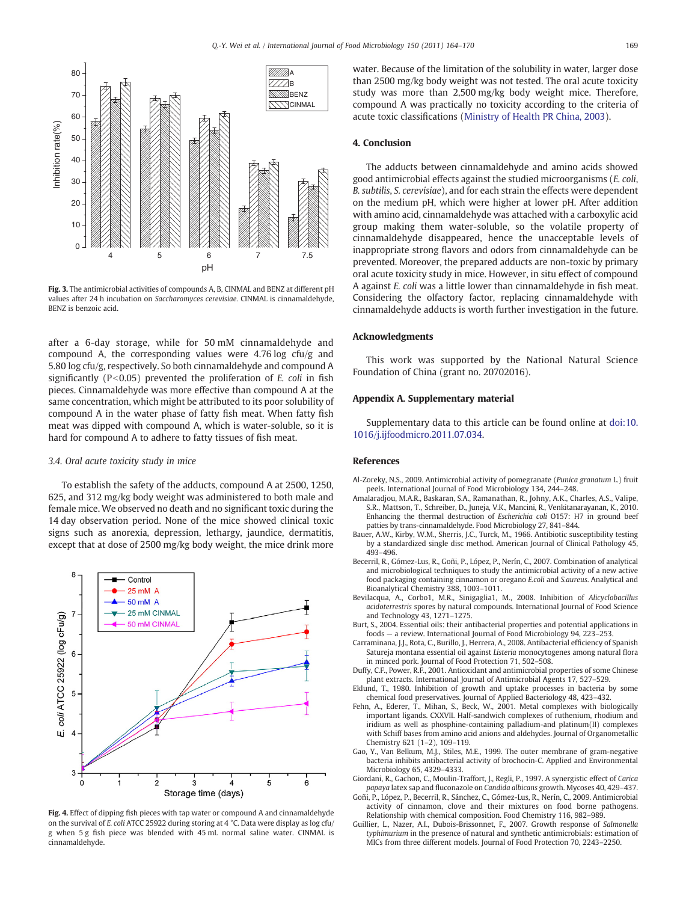<span id="page-5-0"></span>

Fig. 3. The antimicrobial activities of compounds A, B, CINMAL and BENZ at different pH values after 24 h incubation on Saccharomyces cerevisiae. CINMAL is cinnamaldehyde, BENZ is benzoic acid.

after a 6-day storage, while for 50 mM cinnamaldehyde and compound A, the corresponding values were 4.76 log cfu/g and 5.80 log cfu/g, respectively. So both cinnamaldehyde and compound A significantly ( $P < 0.05$ ) prevented the proliferation of E. coli in fish pieces. Cinnamaldehyde was more effective than compound A at the same concentration, which might be attributed to its poor solubility of compound A in the water phase of fatty fish meat. When fatty fish meat was dipped with compound A, which is water-soluble, so it is hard for compound A to adhere to fatty tissues of fish meat.

#### 3.4. Oral acute toxicity study in mice

To establish the safety of the adducts, compound A at 2500, 1250, 625, and 312 mg/kg body weight was administered to both male and female mice. We observed no death and no significant toxic during the 14 day observation period. None of the mice showed clinical toxic signs such as anorexia, depression, lethargy, jaundice, dermatitis, except that at dose of 2500 mg/kg body weight, the mice drink more



Fig. 4. Effect of dipping fish pieces with tap water or compound A and cinnamaldehyde on the survival of E. coli ATCC 25922 during storing at 4 °C. Data were display as log cfu/ g when 5 g fish piece was blended with 45 mL normal saline water. CINMAL is cinnamaldehyde.

water. Because of the limitation of the solubility in water, larger dose than 2500 mg/kg body weight was not tested. The oral acute toxicity study was more than 2,500 mg/kg body weight mice. Therefore, compound A was practically no toxicity according to the criteria of acute toxic classifications ([Ministry of Health PR China, 2003](#page-6-0)).

#### 4. Conclusion

The adducts between cinnamaldehyde and amino acids showed good antimicrobial effects against the studied microorganisms (E. coli, B. subtilis, S. cerevisiae), and for each strain the effects were dependent on the medium pH, which were higher at lower pH. After addition with amino acid, cinnamaldehyde was attached with a carboxylic acid group making them water-soluble, so the volatile property of cinnamaldehyde disappeared, hence the unacceptable levels of inappropriate strong flavors and odors from cinnamaldehyde can be prevented. Moreover, the prepared adducts are non-toxic by primary oral acute toxicity study in mice. However, in situ effect of compound A against E. coli was a little lower than cinnamaldehyde in fish meat. Considering the olfactory factor, replacing cinnamaldehyde with cinnamaldehyde adducts is worth further investigation in the future.

### Acknowledgments

This work was supported by the National Natural Science Foundation of China (grant no. 20702016).

#### Appendix A. Supplementary material

Supplementary data to this article can be found online at doi:10. 1016/j.ijfoodmicro.2011.07.034.

#### References

- Al-Zoreky, N.S., 2009. Antimicrobial activity of pomegranate (Punica granatum L.) fruit peels. International Journal of Food Microbiology 134, 244–248.
- Amalaradjou, M.A.R., Baskaran, S.A., Ramanathan, R., Johny, A.K., Charles, A.S., Valipe, S.R., Mattson, T., Schreiber, D., Juneja, V.K., Mancini, R., Venkitanarayanan, K., 2010. Enhancing the thermal destruction of Escherichia coli O157: H7 in ground beef patties by trans-cinnamaldehyde. Food Microbiology 27, 841–844.
- Bauer, A.W., Kirby, W.M., Sherris, J.C., Turck, M., 1966. Antibiotic susceptibility testing by a standardized single disc method. American Journal of Clinical Pathology 45, 493–496.
- Becerril, R., Gómez-Lus, R., Goñi, P., López, P., Nerín, C., 2007. Combination of analytical and microbiological techniques to study the antimicrobial activity of a new active food packaging containing cinnamon or oregano E.coli and S.aureus. Analytical and Bioanalytical Chemistry 388, 1003–1011.
- Bevilacqua, A., Corbo1, M.R., Sinigaglia1, M., 2008. Inhibition of Alicyclobacillus acidoterrestris spores by natural compounds. International Journal of Food Science and Technology 43, 1271–1275.
- Burt, S., 2004. Essential oils: their antibacterial properties and potential applications in foods — a review. International Journal of Food Microbiology 94, 223–253.
- Carraminana, J.J., Rota, C., Burillo, J., Herrera, A., 2008. Antibacterial efficiency of Spanish Satureja montana essential oil against Listeria monocytogenes among natural flora in minced pork. Journal of Food Protection 71, 502–508.
- Duffy, C.F., Power, R.F., 2001. Antioxidant and antimicrobial properties of some Chinese plant extracts. International Journal of Antimicrobial Agents 17, 527–529.
- Eklund, T., 1980. Inhibition of growth and uptake processes in bacteria by some chemical food preservatives. Journal of Applied Bacteriology 48, 423–432.
- Fehn, A., Ederer, T., Mihan, S., Beck, W., 2001. Metal complexes with biologically important ligands. CXXVII. Half-sandwich complexes of ruthenium, rhodium and iridium as well as phosphine-containing palladium-and platinum(II) complexes with Schiff bases from amino acid anions and aldehydes. Journal of Organometallic Chemistry 621 (1–2), 109–119.
- Gao, Y., Van Belkum, M.J., Stiles, M.E., 1999. The outer membrane of gram-negative bacteria inhibits antibacterial activity of brochocin-C. Applied and Environmental Microbiology 65, 4329–4333.
- Giordani, R., Gachon, C., Moulin-Traffort, J., Regli, P., 1997. A synergistic effect of Carica papaya latex sap and fluconazole on Candida albicans growth. Mycoses 40, 429–437.
- Goñi, P., López, P., Becerril, R., Sánchez, C., Gómez-Lus, R., Nerín, C., 2009. Antimicrobial activity of cinnamon, clove and their mixtures on food borne pathogens. Relationship with chemical composition. Food Chemistry 116, 982–989.
- Guillier, L., Nazer, A.I., Dubois-Brissonnet, F., 2007. Growth response of Salmonella typhimurium in the presence of natural and synthetic antimicrobials: estimation of MICs from three different models. Journal of Food Protection 70, 2243–2250.